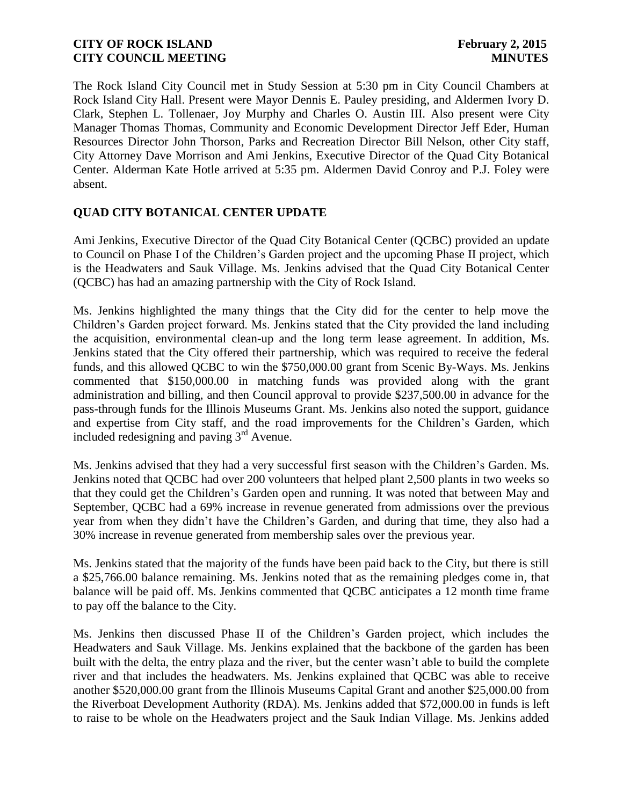The Rock Island City Council met in Study Session at 5:30 pm in City Council Chambers at Rock Island City Hall. Present were Mayor Dennis E. Pauley presiding, and Aldermen Ivory D. Clark, Stephen L. Tollenaer, Joy Murphy and Charles O. Austin III. Also present were City Manager Thomas Thomas, Community and Economic Development Director Jeff Eder, Human Resources Director John Thorson, Parks and Recreation Director Bill Nelson, other City staff, City Attorney Dave Morrison and Ami Jenkins, Executive Director of the Quad City Botanical Center. Alderman Kate Hotle arrived at 5:35 pm. Aldermen David Conroy and P.J. Foley were absent.

# **QUAD CITY BOTANICAL CENTER UPDATE**

Ami Jenkins, Executive Director of the Quad City Botanical Center (QCBC) provided an update to Council on Phase I of the Children's Garden project and the upcoming Phase II project, which is the Headwaters and Sauk Village. Ms. Jenkins advised that the Quad City Botanical Center (QCBC) has had an amazing partnership with the City of Rock Island.

Ms. Jenkins highlighted the many things that the City did for the center to help move the Children's Garden project forward. Ms. Jenkins stated that the City provided the land including the acquisition, environmental clean-up and the long term lease agreement. In addition, Ms. Jenkins stated that the City offered their partnership, which was required to receive the federal funds, and this allowed QCBC to win the \$750,000.00 grant from Scenic By-Ways. Ms. Jenkins commented that \$150,000.00 in matching funds was provided along with the grant administration and billing, and then Council approval to provide \$237,500.00 in advance for the pass-through funds for the Illinois Museums Grant. Ms. Jenkins also noted the support, guidance and expertise from City staff, and the road improvements for the Children's Garden, which included redesigning and paving  $3<sup>rd</sup>$  Avenue.

Ms. Jenkins advised that they had a very successful first season with the Children's Garden. Ms. Jenkins noted that QCBC had over 200 volunteers that helped plant 2,500 plants in two weeks so that they could get the Children's Garden open and running. It was noted that between May and September, QCBC had a 69% increase in revenue generated from admissions over the previous year from when they didn't have the Children's Garden, and during that time, they also had a 30% increase in revenue generated from membership sales over the previous year.

Ms. Jenkins stated that the majority of the funds have been paid back to the City, but there is still a \$25,766.00 balance remaining. Ms. Jenkins noted that as the remaining pledges come in, that balance will be paid off. Ms. Jenkins commented that QCBC anticipates a 12 month time frame to pay off the balance to the City.

Ms. Jenkins then discussed Phase II of the Children's Garden project, which includes the Headwaters and Sauk Village. Ms. Jenkins explained that the backbone of the garden has been built with the delta, the entry plaza and the river, but the center wasn't able to build the complete river and that includes the headwaters. Ms. Jenkins explained that QCBC was able to receive another \$520,000.00 grant from the Illinois Museums Capital Grant and another \$25,000.00 from the Riverboat Development Authority (RDA). Ms. Jenkins added that \$72,000.00 in funds is left to raise to be whole on the Headwaters project and the Sauk Indian Village. Ms. Jenkins added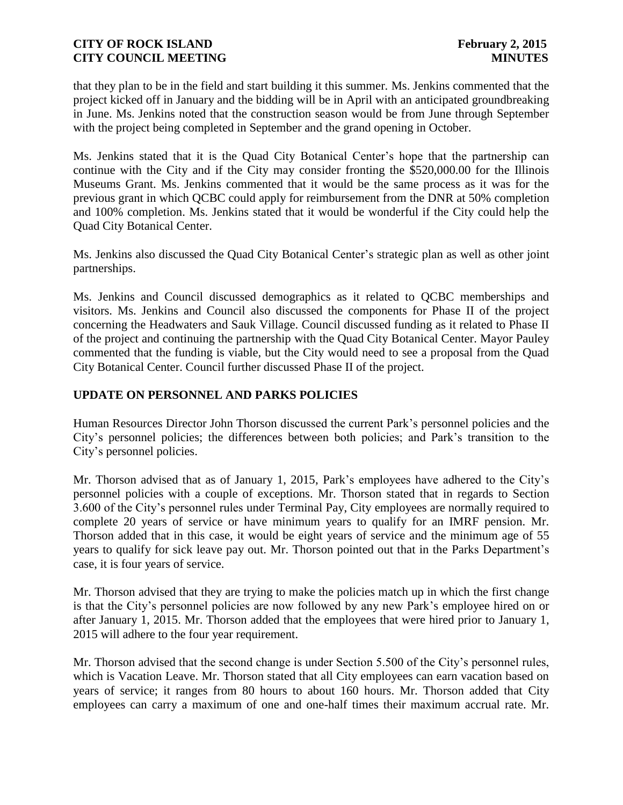that they plan to be in the field and start building it this summer. Ms. Jenkins commented that the project kicked off in January and the bidding will be in April with an anticipated groundbreaking in June. Ms. Jenkins noted that the construction season would be from June through September with the project being completed in September and the grand opening in October.

Ms. Jenkins stated that it is the Quad City Botanical Center's hope that the partnership can continue with the City and if the City may consider fronting the \$520,000.00 for the Illinois Museums Grant. Ms. Jenkins commented that it would be the same process as it was for the previous grant in which QCBC could apply for reimbursement from the DNR at 50% completion and 100% completion. Ms. Jenkins stated that it would be wonderful if the City could help the Quad City Botanical Center.

Ms. Jenkins also discussed the Quad City Botanical Center's strategic plan as well as other joint partnerships.

Ms. Jenkins and Council discussed demographics as it related to QCBC memberships and visitors. Ms. Jenkins and Council also discussed the components for Phase II of the project concerning the Headwaters and Sauk Village. Council discussed funding as it related to Phase II of the project and continuing the partnership with the Quad City Botanical Center. Mayor Pauley commented that the funding is viable, but the City would need to see a proposal from the Quad City Botanical Center. Council further discussed Phase II of the project.

## **UPDATE ON PERSONNEL AND PARKS POLICIES**

Human Resources Director John Thorson discussed the current Park's personnel policies and the City's personnel policies; the differences between both policies; and Park's transition to the City's personnel policies.

Mr. Thorson advised that as of January 1, 2015, Park's employees have adhered to the City's personnel policies with a couple of exceptions. Mr. Thorson stated that in regards to Section 3.600 of the City's personnel rules under Terminal Pay, City employees are normally required to complete 20 years of service or have minimum years to qualify for an IMRF pension. Mr. Thorson added that in this case, it would be eight years of service and the minimum age of 55 years to qualify for sick leave pay out. Mr. Thorson pointed out that in the Parks Department's case, it is four years of service.

Mr. Thorson advised that they are trying to make the policies match up in which the first change is that the City's personnel policies are now followed by any new Park's employee hired on or after January 1, 2015. Mr. Thorson added that the employees that were hired prior to January 1, 2015 will adhere to the four year requirement.

Mr. Thorson advised that the second change is under Section 5.500 of the City's personnel rules, which is Vacation Leave. Mr. Thorson stated that all City employees can earn vacation based on years of service; it ranges from 80 hours to about 160 hours. Mr. Thorson added that City employees can carry a maximum of one and one-half times their maximum accrual rate. Mr.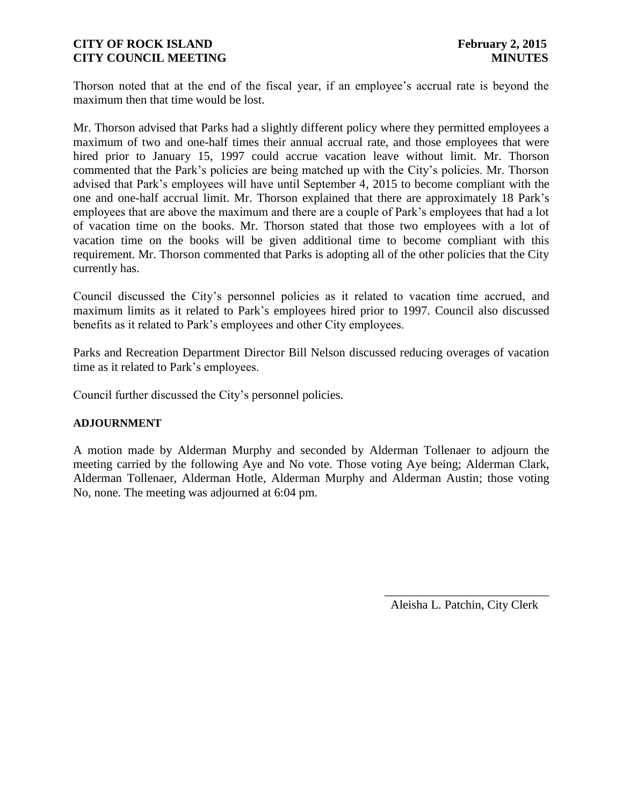Thorson noted that at the end of the fiscal year, if an employee's accrual rate is beyond the maximum then that time would be lost.

Mr. Thorson advised that Parks had a slightly different policy where they permitted employees a maximum of two and one-half times their annual accrual rate, and those employees that were hired prior to January 15, 1997 could accrue vacation leave without limit. Mr. Thorson commented that the Park's policies are being matched up with the City's policies. Mr. Thorson advised that Park's employees will have until September 4, 2015 to become compliant with the one and one-half accrual limit. Mr. Thorson explained that there are approximately 18 Park's employees that are above the maximum and there are a couple of Park's employees that had a lot of vacation time on the books. Mr. Thorson stated that those two employees with a lot of vacation time on the books will be given additional time to become compliant with this requirement. Mr. Thorson commented that Parks is adopting all of the other policies that the City currently has.

Council discussed the City's personnel policies as it related to vacation time accrued, and maximum limits as it related to Park's employees hired prior to 1997. Council also discussed benefits as it related to Park's employees and other City employees.

Parks and Recreation Department Director Bill Nelson discussed reducing overages of vacation time as it related to Park's employees.

Council further discussed the City's personnel policies.

#### **ADJOURNMENT**

A motion made by Alderman Murphy and seconded by Alderman Tollenaer to adjourn the meeting carried by the following Aye and No vote. Those voting Aye being; Alderman Clark, Alderman Tollenaer, Alderman Hotle, Alderman Murphy and Alderman Austin; those voting No, none. The meeting was adjourned at 6:04 pm.

Aleisha L. Patchin, City Clerk

 $\frac{1}{2}$  ,  $\frac{1}{2}$  ,  $\frac{1}{2}$  ,  $\frac{1}{2}$  ,  $\frac{1}{2}$  ,  $\frac{1}{2}$  ,  $\frac{1}{2}$  ,  $\frac{1}{2}$  ,  $\frac{1}{2}$  ,  $\frac{1}{2}$  ,  $\frac{1}{2}$  ,  $\frac{1}{2}$  ,  $\frac{1}{2}$  ,  $\frac{1}{2}$  ,  $\frac{1}{2}$  ,  $\frac{1}{2}$  ,  $\frac{1}{2}$  ,  $\frac{1}{2}$  ,  $\frac{1$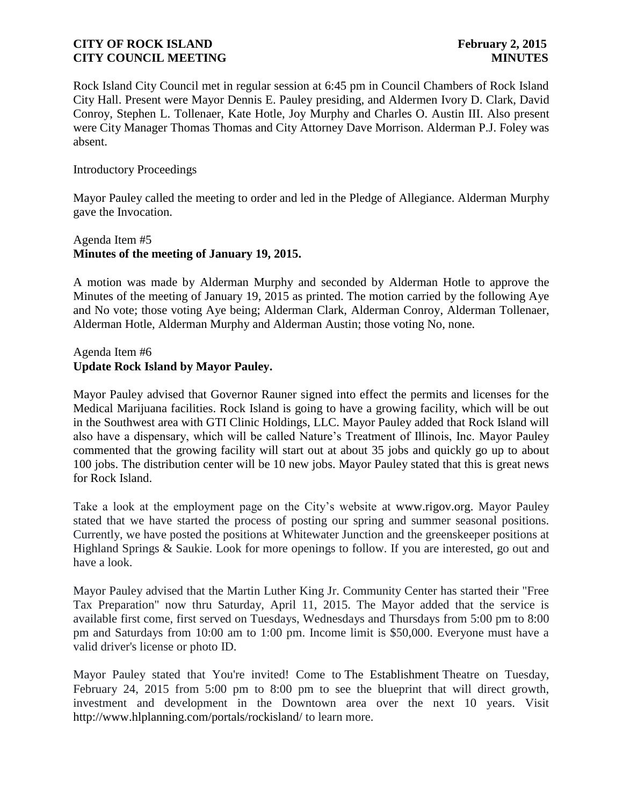Rock Island City Council met in regular session at 6:45 pm in Council Chambers of Rock Island City Hall. Present were Mayor Dennis E. Pauley presiding, and Aldermen Ivory D. Clark, David Conroy, Stephen L. Tollenaer, Kate Hotle, Joy Murphy and Charles O. Austin III. Also present were City Manager Thomas Thomas and City Attorney Dave Morrison. Alderman P.J. Foley was absent.

### Introductory Proceedings

Mayor Pauley called the meeting to order and led in the Pledge of Allegiance. Alderman Murphy gave the Invocation.

### Agenda Item #5 **Minutes of the meeting of January 19, 2015.**

A motion was made by Alderman Murphy and seconded by Alderman Hotle to approve the Minutes of the meeting of January 19, 2015 as printed. The motion carried by the following Aye and No vote; those voting Aye being; Alderman Clark, Alderman Conroy, Alderman Tollenaer, Alderman Hotle, Alderman Murphy and Alderman Austin; those voting No, none.

### Agenda Item #6 **Update Rock Island by Mayor Pauley.**

Mayor Pauley advised that Governor Rauner signed into effect the permits and licenses for the Medical Marijuana facilities. Rock Island is going to have a growing facility, which will be out in the Southwest area with GTI Clinic Holdings, LLC. Mayor Pauley added that Rock Island will also have a dispensary, which will be called Nature's Treatment of Illinois, Inc. Mayor Pauley commented that the growing facility will start out at about 35 jobs and quickly go up to about 100 jobs. The distribution center will be 10 new jobs. Mayor Pauley stated that this is great news for Rock Island.

Take a look at the employment page on the City's website at [www.rigov.org.](http://www.rigov.org/) Mayor Pauley stated that we have started the process of posting our spring and summer seasonal positions. Currently, we have posted the positions at Whitewater Junction and the greenskeeper positions at Highland Springs & Saukie. Look for more openings to follow. If you are interested, go out and have a look.

Mayor Pauley advised that the Martin Luther King Jr. Community Center has started their "Free Tax Preparation" now thru Saturday, April 11, 2015. The Mayor added that the service is available first come, first served on Tuesdays, Wednesdays and Thursdays from 5:00 pm to 8:00 pm and Saturdays from 10:00 am to 1:00 pm. Income limit is \$50,000. Everyone must have a valid driver's license or photo ID.

Mayor Pauley stated that You're invited! Come to The Establishment Theatre on Tuesday, February 24, 2015 from 5:00 pm to 8:00 pm to see the blueprint that will direct growth, investment and development in the Downtown area over the next 10 years. Visit http://www.hlplanning.com/portals/rockisland/ to learn more.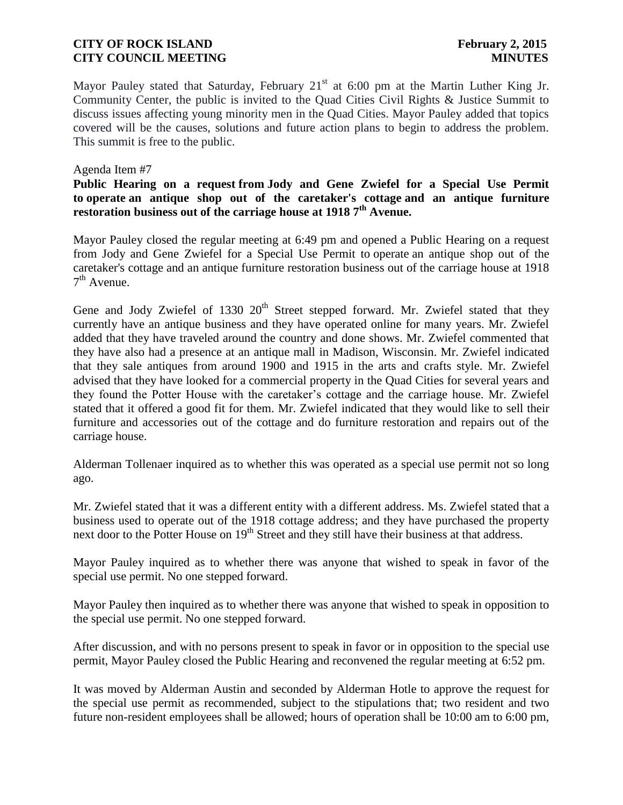Mayor Pauley stated that Saturday, February  $21<sup>st</sup>$  at 6:00 pm at the Martin Luther King Jr. Community Center, the public is invited to the Quad Cities Civil Rights & Justice Summit to discuss issues affecting young minority men in the Quad Cities. Mayor Pauley added that topics covered will be the causes, solutions and future action plans to begin to address the problem. This summit is free to the public.

### Agenda Item #7

### **Public Hearing on a request from Jody and Gene Zwiefel for a Special Use Permit to operate an antique shop out of the caretaker's cottage and an antique furniture restoration business out of the carriage house at 1918 7th Avenue.**

Mayor Pauley closed the regular meeting at 6:49 pm and opened a Public Hearing on a request from Jody and Gene Zwiefel for a Special Use Permit to operate an antique shop out of the caretaker's cottage and an antique furniture restoration business out of the carriage house at 1918  $7<sup>th</sup>$  Avenue.

Gene and Jody Zwiefel of 1330  $20<sup>th</sup>$  Street stepped forward. Mr. Zwiefel stated that they currently have an antique business and they have operated online for many years. Mr. Zwiefel added that they have traveled around the country and done shows. Mr. Zwiefel commented that they have also had a presence at an antique mall in Madison, Wisconsin. Mr. Zwiefel indicated that they sale antiques from around 1900 and 1915 in the arts and crafts style. Mr. Zwiefel advised that they have looked for a commercial property in the Quad Cities for several years and they found the Potter House with the caretaker's cottage and the carriage house. Mr. Zwiefel stated that it offered a good fit for them. Mr. Zwiefel indicated that they would like to sell their furniture and accessories out of the cottage and do furniture restoration and repairs out of the carriage house.

Alderman Tollenaer inquired as to whether this was operated as a special use permit not so long ago.

Mr. Zwiefel stated that it was a different entity with a different address. Ms. Zwiefel stated that a business used to operate out of the 1918 cottage address; and they have purchased the property next door to the Potter House on  $19<sup>th</sup>$  Street and they still have their business at that address.

Mayor Pauley inquired as to whether there was anyone that wished to speak in favor of the special use permit. No one stepped forward.

Mayor Pauley then inquired as to whether there was anyone that wished to speak in opposition to the special use permit. No one stepped forward.

After discussion, and with no persons present to speak in favor or in opposition to the special use permit, Mayor Pauley closed the Public Hearing and reconvened the regular meeting at 6:52 pm.

It was moved by Alderman Austin and seconded by Alderman Hotle to approve the request for the special use permit as recommended, subject to the stipulations that; two resident and two future non-resident employees shall be allowed; hours of operation shall be 10:00 am to 6:00 pm,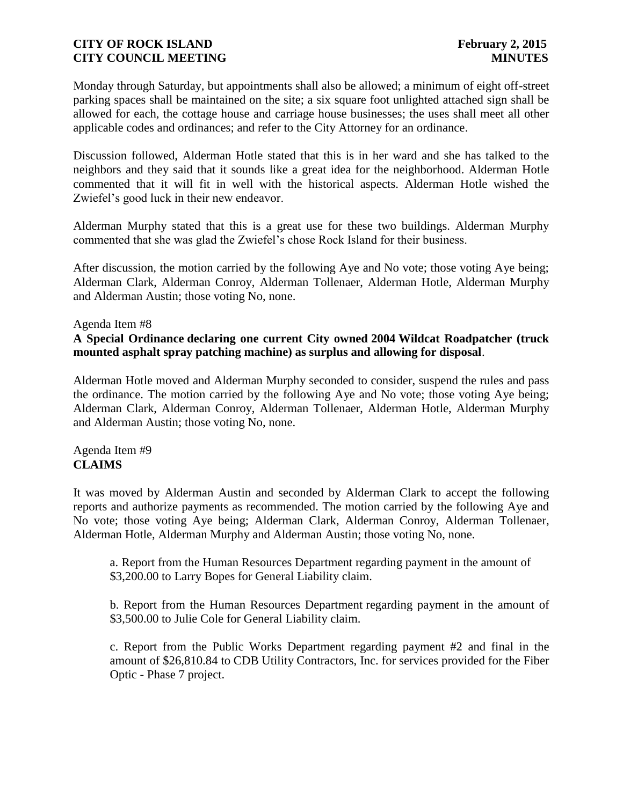Monday through Saturday, but appointments shall also be allowed; a minimum of eight off-street parking spaces shall be maintained on the site; a six square foot unlighted attached sign shall be allowed for each, the cottage house and carriage house businesses; the uses shall meet all other applicable codes and ordinances; and refer to the City Attorney for an ordinance.

Discussion followed, Alderman Hotle stated that this is in her ward and she has talked to the neighbors and they said that it sounds like a great idea for the neighborhood. Alderman Hotle commented that it will fit in well with the historical aspects. Alderman Hotle wished the Zwiefel's good luck in their new endeavor.

Alderman Murphy stated that this is a great use for these two buildings. Alderman Murphy commented that she was glad the Zwiefel's chose Rock Island for their business.

After discussion, the motion carried by the following Aye and No vote; those voting Aye being; Alderman Clark, Alderman Conroy, Alderman Tollenaer, Alderman Hotle, Alderman Murphy and Alderman Austin; those voting No, none.

### Agenda Item #8

### **A Special Ordinance declaring one current City owned 2004 Wildcat Roadpatcher (truck mounted asphalt spray patching machine) as surplus and allowing for disposal**.

Alderman Hotle moved and Alderman Murphy seconded to consider, suspend the rules and pass the ordinance. The motion carried by the following Aye and No vote; those voting Aye being; Alderman Clark, Alderman Conroy, Alderman Tollenaer, Alderman Hotle, Alderman Murphy and Alderman Austin; those voting No, none.

### Agenda Item #9 **CLAIMS**

It was moved by Alderman Austin and seconded by Alderman Clark to accept the following reports and authorize payments as recommended. The motion carried by the following Aye and No vote; those voting Aye being; Alderman Clark, Alderman Conroy, Alderman Tollenaer, Alderman Hotle, Alderman Murphy and Alderman Austin; those voting No, none.

 a. Report from the Human Resources Department regarding payment in the amount of \$3,200.00 to Larry Bopes for General Liability claim.

b. Report from the Human Resources Department regarding payment in the amount of \$3,500.00 to Julie Cole for General Liability claim.

c. Report from the Public Works Department regarding payment #2 and final in the amount of \$26,810.84 to CDB Utility Contractors, Inc. for services provided for the Fiber Optic - Phase 7 project.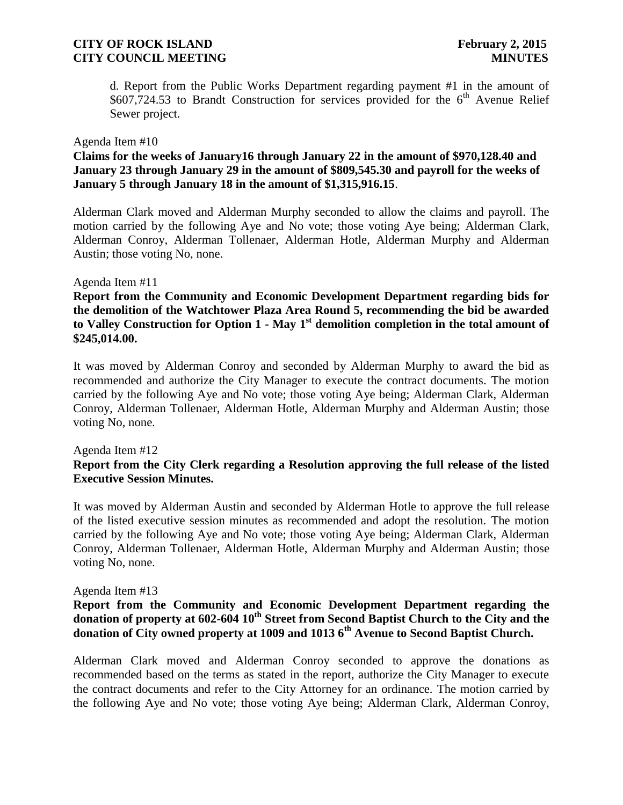d. Report from the Public Works Department regarding payment #1 in the amount of \$607,724.53 to Brandt Construction for services provided for the  $6<sup>th</sup>$  Avenue Relief Sewer project.

## Agenda Item #10

### **Claims for the weeks of January16 through January 22 in the amount of \$970,128.40 and January 23 through January 29 in the amount of \$809,545.30 and payroll for the weeks of January 5 through January 18 in the amount of \$1,315,916.15**.

Alderman Clark moved and Alderman Murphy seconded to allow the claims and payroll. The motion carried by the following Aye and No vote; those voting Aye being; Alderman Clark, Alderman Conroy, Alderman Tollenaer, Alderman Hotle, Alderman Murphy and Alderman Austin; those voting No, none.

#### Agenda Item #11

**Report from the Community and Economic Development Department regarding bids for the demolition of the Watchtower Plaza Area Round 5, recommending the bid be awarded to Valley Construction for Option 1 - May 1st demolition completion in the total amount of \$245,014.00.**

It was moved by Alderman Conroy and seconded by Alderman Murphy to award the bid as recommended and authorize the City Manager to execute the contract documents. The motion carried by the following Aye and No vote; those voting Aye being; Alderman Clark, Alderman Conroy, Alderman Tollenaer, Alderman Hotle, Alderman Murphy and Alderman Austin; those voting No, none.

#### Agenda Item #12

### **Report from the City Clerk regarding a Resolution approving the full release of the listed Executive Session Minutes.**

It was moved by Alderman Austin and seconded by Alderman Hotle to approve the full release of the listed executive session minutes as recommended and adopt the resolution. The motion carried by the following Aye and No vote; those voting Aye being; Alderman Clark, Alderman Conroy, Alderman Tollenaer, Alderman Hotle, Alderman Murphy and Alderman Austin; those voting No, none.

#### Agenda Item #13

## **Report from the Community and Economic Development Department regarding the donation of property at 602-604 10th Street from Second Baptist Church to the City and the donation of City owned property at 1009 and 1013 6th Avenue to Second Baptist Church.**

Alderman Clark moved and Alderman Conroy seconded to approve the donations as recommended based on the terms as stated in the report, authorize the City Manager to execute the contract documents and refer to the City Attorney for an ordinance. The motion carried by the following Aye and No vote; those voting Aye being; Alderman Clark, Alderman Conroy,